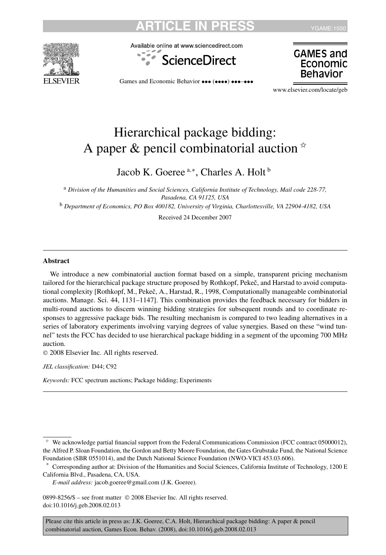

Available online at www.sciencedirect.com





Games and Economic Behavior ••• (••••) •••-

www.elsevier.com/locate/geb

## Hierarchical package bidding: A paper & pencil combinatorial auction  $*$

Jacob K. Goeree <sup>a,∗</sup>, Charles A. Holt <sup>b</sup>

<sup>a</sup> *Division of the Humanities and Social Sciences, California Institute of Technology, Mail code 228-77, Pasadena, CA 91125, USA*

<sup>b</sup> *Department of Economics, PO Box 400182, University of Virginia, Charlottesville, VA 22904-4182, USA*

Received 24 December 2007

#### **Abstract**

We introduce a new combinatorial auction format based on a simple, transparent pricing mechanism tailored for the hierarchical package structure proposed by Rothkopf, Pekeč, and Harstad to avoid computational complexity [Rothkopf, M., Pekeč, A., Harstad, R., 1998, Computationally manageable combinatorial auctions. Manage. Sci. 44, 1131–1147]. This combination provides the feedback necessary for bidders in multi-round auctions to discern winning bidding strategies for subsequent rounds and to coordinate responses to aggressive package bids. The resulting mechanism is compared to two leading alternatives in a series of laboratory experiments involving varying degrees of value synergies. Based on these "wind tunnel" tests the FCC has decided to use hierarchical package bidding in a segment of the upcoming 700 MHz auction.

© 2008 Elsevier Inc. All rights reserved.

*JEL classification:* D44; C92

*Keywords:* FCC spectrum auctions; Package bidding; Experiments

0899-8256/\$ – see front matter © 2008 Elsevier Inc. All rights reserved. doi:10.1016/j.geb.2008.02.013

Please cite this article in press as: J.K. Goeree, C.A. Holt, Hierarchical package bidding: A paper & pencil combinatorial auction, Games Econ. Behav. (2008), doi:10.1016/j.geb.2008.02.013

 $*$  We acknowledge partial financial support from the Federal Communications Commission (FCC contract 05000012), the Alfred P. Sloan Foundation, the Gordon and Betty Moore Foundation, the Gates Grubstake Fund, the National Science Foundation (SBR 0551014), and the Dutch National Science Foundation (NWO-VICI 453.03.606).

<sup>\*</sup> Corresponding author at: Division of the Humanities and Social Sciences, California Institute of Technology, 1200 E California Blvd., Pasadena, CA, USA.

*E-mail address:* jacob.goeree@gmail.com (J.K. Goeree).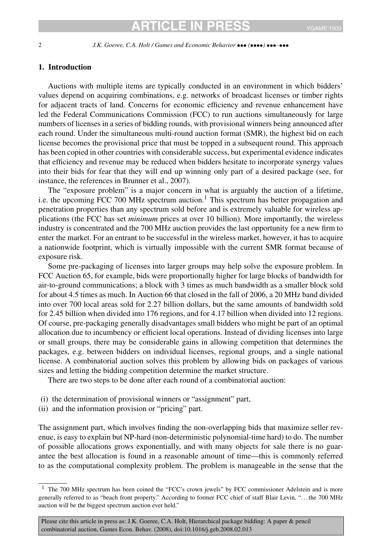2 *J.K. Goeree, C.A. Holt / Games and Economic Behavior* ••• *(*••••*)* •••*–*•••

### **1. Introduction**

Auctions with multiple items are typically conducted in an environment in which bidders' values depend on acquiring combinations, e.g. networks of broadcast licenses or timber rights for adjacent tracts of land. Concerns for economic efficiency and revenue enhancement have led the Federal Communications Commission (FCC) to run auctions simultaneously for large numbers of licenses in a series of bidding rounds, with provisional winners being announced after each round. Under the simultaneous multi-round auction format (SMR), the highest bid on each license becomes the provisional price that must be topped in a subsequent round. This approach has been copied in other countries with considerable success, but experimental evidence indicates that efficiency and revenue may be reduced when bidders hesitate to incorporate synergy values into their bids for fear that they will end up winning only part of a desired package (see, for instance, the references in Brunner et al., 2007).

The "exposure problem" is a major concern in what is arguably the auction of a lifetime, i.e. the upcoming FCC 700 MHz spectrum auction.<sup>1</sup> This spectrum has better propagation and penetration properties than any spectrum sold before and is extremely valuable for wireless applications (the FCC has set *minimum* prices at over 10 billion). More importantly, the wireless industry is concentrated and the 700 MHz auction provides the last opportunity for a new firm to enter the market. For an entrant to be successful in the wireless market, however, it has to acquire a nationwide footprint, which is virtually impossible with the current SMR format because of exposure risk.

Some pre-packaging of licenses into larger groups may help solve the exposure problem. In FCC Auction 65, for example, bids were proportionally higher for large blocks of bandwidth for air-to-ground communications; a block with 3 times as much bandwidth as a smaller block sold for about 4.5 times as much. In Auction 66 that closed in the fall of 2006, a 20 MHz band divided into over 700 local areas sold for 2.27 billion dollars, but the same amounts of bandwidth sold for 2.45 billion when divided into 176 regions, and for 4.17 billion when divided into 12 regions. Of course, pre-packaging generally disadvantages small bidders who might be part of an optimal allocation due to incumbency or efficient local operations. Instead of dividing licenses into large or small groups, there may be considerable gains in allowing competition that determines the packages, e.g. between bidders on individual licenses, regional groups, and a single national license. A combinatorial auction solves this problem by allowing bids on packages of various sizes and letting the bidding competition determine the market structure.

There are two steps to be done after each round of a combinatorial auction:

- (i) the determination of provisional winners or "assignment" part,
- (ii) and the information provision or "pricing" part.

The assignment part, which involves finding the non-overlapping bids that maximize seller revenue, is easy to explain but NP-hard (non-deterministic polynomial-time hard) to do. The number of possible allocations grows exponentially, and with many objects for sale there is no guarantee the best allocation is found in a reasonable amount of time—this is commonly referred to as the computational complexity problem. The problem is manageable in the sense that the

<sup>&</sup>lt;sup>1</sup> The 700 MHz spectrum has been coined the "FCC's crown jewels" by FCC commissioner Adelstein and is more generally referred to as "beach front property." According to former FCC chief of staff Blair Levin, ". . . the 700 MHz auction will be the biggest spectrum auction ever held."

Please cite this article in press as: J.K. Goeree, C.A. Holt, Hierarchical package bidding: A paper & pencil combinatorial auction, Games Econ. Behav. (2008), doi:10.1016/j.geb.2008.02.013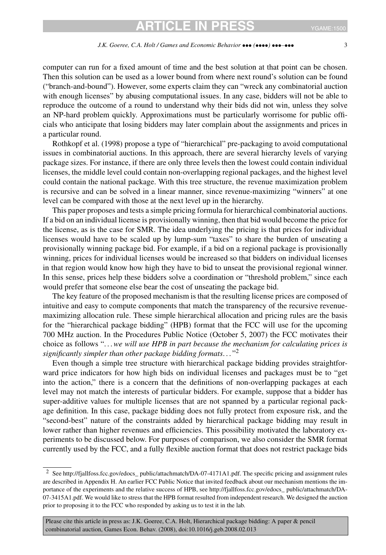computer can run for a fixed amount of time and the best solution at that point can be chosen. Then this solution can be used as a lower bound from where next round's solution can be found ("branch-and-bound"). However, some experts claim they can "wreck any combinatorial auction with enough licenses" by abusing computational issues. In any case, bidders will not be able to reproduce the outcome of a round to understand why their bids did not win, unless they solve an NP-hard problem quickly. Approximations must be particularly worrisome for public officials who anticipate that losing bidders may later complain about the assignments and prices in a particular round.

Rothkopf et al. (1998) propose a type of "hierarchical" pre-packaging to avoid computational issues in combinatorial auctions. In this approach, there are several hierarchy levels of varying package sizes. For instance, if there are only three levels then the lowest could contain individual licenses, the middle level could contain non-overlapping regional packages, and the highest level could contain the national package. With this tree structure, the revenue maximization problem is recursive and can be solved in a linear manner, since revenue-maximizing "winners" at one level can be compared with those at the next level up in the hierarchy.

This paper proposes and tests a simple pricing formula for hierarchical combinatorial auctions. If a bid on an individual license is provisionally winning, then that bid would become the price for the license, as is the case for SMR. The idea underlying the pricing is that prices for individual licenses would have to be scaled up by lump-sum "taxes" to share the burden of unseating a provisionally winning package bid. For example, if a bid on a regional package is provisionally winning, prices for individual licenses would be increased so that bidders on individual licenses in that region would know how high they have to bid to unseat the provisional regional winner. In this sense, prices help these bidders solve a coordination or "threshold problem," since each would prefer that someone else bear the cost of unseating the package bid.

The key feature of the proposed mechanism is that the resulting license prices are composed of intuitive and easy to compute components that match the transparency of the recursive revenuemaximizing allocation rule. These simple hierarchical allocation and pricing rules are the basis for the "hierarchical package bidding" (HPB) format that the FCC will use for the upcoming 700 MHz auction. In the Procedures Public Notice (October 5, 2007) the FCC motivates their choice as follows ". . .*we will use HPB in part because the mechanism for calculating prices is significantly simpler than other package bidding formats*..."<sup>2</sup>

Even though a simple tree structure with hierarchical package bidding provides straightforward price indicators for how high bids on individual licenses and packages must be to "get into the action," there is a concern that the definitions of non-overlapping packages at each level may not match the interests of particular bidders. For example, suppose that a bidder has super-additive values for multiple licenses that are not spanned by a particular regional package definition. In this case, package bidding does not fully protect from exposure risk, and the "second-best" nature of the constraints added by hierarchical package bidding may result in lower rather than higher revenues and efficiencies. This possibility motivated the laboratory experiments to be discussed below. For purposes of comparison, we also consider the SMR format currently used by the FCC, and a fully flexible auction format that does not restrict package bids

<sup>&</sup>lt;sup>2</sup> See http://fjallfoss.fcc.gov/edocs\_public/attachmatch/DA-07-4171A1.pdf. The specific pricing and assignment rules are described in Appendix H. An earlier FCC Public Notice that invited feedback about our mechanism mentions the importance of the experiments and the relative success of HPB, see http://fjallfoss.fcc.gov/edocs\_ public/attachmatch/DA-07-3415A1.pdf. We would like to stress that the HPB format resulted from independent research. We designed the auction prior to proposing it to the FCC who responded by asking us to test it in the lab.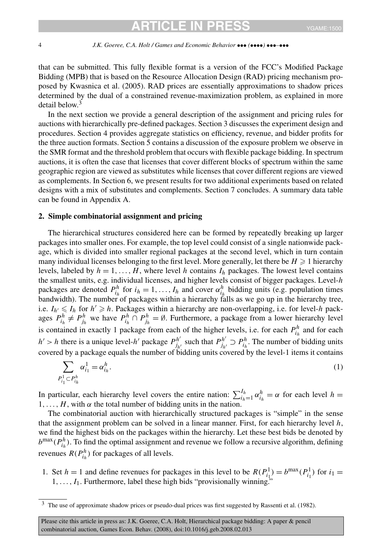#### 4 *J.K. Goeree, C.A. Holt / Games and Economic Behavior* ••• *(*••••*)* •••*–*•••

that can be submitted. This fully flexible format is a version of the FCC's Modified Package Bidding (MPB) that is based on the Resource Allocation Design (RAD) pricing mechanism proposed by Kwasnica et al. (2005). RAD prices are essentially approximations to shadow prices determined by the dual of a constrained revenue-maximization problem, as explained in more detail below.<sup>3</sup>

In the next section we provide a general description of the assignment and pricing rules for auctions with hierarchically pre-defined packages. Section 3 discusses the experiment design and procedures. Section 4 provides aggregate statistics on efficiency, revenue, and bidder profits for the three auction formats. Section 5 contains a discussion of the exposure problem we observe in the SMR format and the threshold problem that occurs with flexible package bidding. In spectrum auctions, it is often the case that licenses that cover different blocks of spectrum within the same geographic region are viewed as substitutes while licenses that cover different regions are viewed as complements. In Section 6, we present results for two additional experiments based on related designs with a mix of substitutes and complements. Section 7 concludes. A summary data table can be found in Appendix A.

### **2. Simple combinatorial assignment and pricing**

The hierarchical structures considered here can be formed by repeatedly breaking up larger packages into smaller ones. For example, the top level could consist of a single nationwide package, which is divided into smaller regional packages at the second level, which in turn contain many individual licenses belonging to the first level. More generally, let there be  $H \geqslant 1$  hierarchy levels, labeled by  $h = 1, \ldots, H$ , where level *h* contains  $I_h$  packages. The lowest level contains the smallest units, e.g. individual licenses, and higher levels consist of bigger packages. Level-*h* packages are denoted  $P_{i_h}^h$  for  $i_h = 1, \ldots, I_h$  and cover  $\alpha_{i_h}^h$  bidding units (e.g. population times bandwidth). The number of packages within a hierarchy falls as we go up in the hierarchy tree, i.e.  $I_{h'} \leq I_h$  for  $h' \geq h$ . Packages within a hierarchy are non-overlapping, i.e. for level-*h* packages  $P_{i_h}^h \neq P_{j_h}^h$  we have  $P_{i_h}^h \cap P_{j_h}^h = \emptyset$ . Furthermore, a package from a lower hierarchy level is contained in exactly 1 package from each of the higher levels, i.e. for each  $P_{i_h}^h$  and for each *h'* > *h* there is a unique level-*h'* package  $P_{j_h}^{h'}$  such that  $P_{j_{h'}}^{h'} \supset P_{i_h}^h$ . The number of bidding units covered by a package equals the number of bidding units covered by the level-1 items it contains

$$
\sum_{P_{i_1}^1 \subset P_{i_h}^h} \alpha_{i_1}^1 = \alpha_{i_h}^h. \tag{1}
$$

In particular, each hierarchy level covers the entire nation:  $\sum_{i_h=1}^{I_h} \alpha_{i_h}^h = \alpha$  for each level  $h =$  $1, \ldots, H$ , with  $\alpha$  the total number of bidding units in the nation.

The combinatorial auction with hierarchically structured packages is "simple" in the sense that the assignment problem can be solved in a linear manner. First, for each hierarchy level *h*, we find the highest bids on the packages within the hierarchy. Let these best bids be denoted by  $b^{\max}(P_{i_h}^h)$ . To find the optimal assignment and revenue we follow a recursive algorithm, defining revenues  $R(P_{i_h}^h)$  for packages of all levels.

1. Set  $h = 1$  and define revenues for packages in this level to be  $R(P_{i_1}^1) = b^{\max}(P_{i_1}^1)$  for  $i_1 =$  $1, \ldots, I_1$ . Furthermore, label these high bids "provisionally winning."

<sup>3</sup> The use of approximate shadow prices or pseudo-dual prices was first suggested by Rassenti et al. (1982).

Please cite this article in press as: J.K. Goeree, C.A. Holt, Hierarchical package bidding: A paper & pencil combinatorial auction, Games Econ. Behav. (2008), doi:10.1016/j.geb.2008.02.013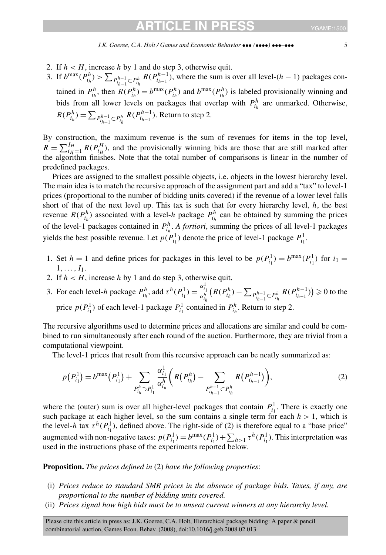- 2. If  $h < H$ , increase *h* by 1 and do step 3, otherwise quit.
- 3. If  $b^{\max}(P_{i_h}^h) > \sum_{P_{i_{h-1}}^{h-1} \subset P_{i_h}^h} R(P_{i_{h-1}}^{h-1})$ , where the sum is over all level- $(h-1)$  packages contained in  $P_{i_h}^h$ , then  $R(P_{i_h}^h) = b^{\max}(P_{i_h}^h)$  and  $b^{\max}(P_{i_h}^h)$  is labeled provisionally winning and bids from all lower levels on packages that overlap with  $P_{i_h}^h$  are unmarked. Otherwise,  $R(P_{i_h}^h) = \sum_{P_{i_{h-1}}^{h-1} \subset P_{i_h}^h} R(P_{i_{h-1}}^{h-1})$ . Return to step 2.

By construction, the maximum revenue is the sum of revenues for items in the top level,  $R = \sum_{i=1}^{H} R(P_{iH}^{H})$ , and the provisionally winning bids are those that are still marked after the algorithm finishes. Note that the total number of comparisons is linear in the number of predefined packages.

Prices are assigned to the smallest possible objects, i.e. objects in the lowest hierarchy level. The main idea is to match the recursive approach of the assignment part and add a "tax" to level-1 prices (proportional to the number of bidding units covered) if the revenue of a lower level falls short of that of the next level up. This tax is such that for every hierarchy level, *h*, the best revenue  $R(P_{i_h}^h)$  associated with a level-*h* package  $P_{i_h}^h$  can be obtained by summing the prices of the level-1 packages contained in  $P_{i_h}^h$ . *A fortiori*, summing the prices of all level-1 packages yields the best possible revenue. Let  $p(P_{i_1}^1)$  denote the price of level-1 package  $P_{i_1}^1$ .

- 1. Set  $h = 1$  and define prices for packages in this level to be  $p(P_{i_1}^1) = b^{\max}(P_{i_1}^1)$  for  $i_1 =$ 1*,...,I*1.
- 2. If  $h < H$ , increase *h* by 1 and do step 3, otherwise quit.
- 3. For each level-*h* package  $P_{i_h}^h$ , add  $\tau^h(P_{i_1}^1) = \frac{\alpha_{i_1}^1}{\alpha_{i_h}^h}$  $\left(R(P_{i_h}^h) - \sum_{P_{i_{h-1}}^h \subset P_{i_h}^h} R(P_{i_{h-1}}^{h-1})\right) \geq 0$  to the price  $p(P_{i_1}^1)$  of each level-1 package  $P_{i_1}^1$  contained in  $P_{i_h}^h$ . Return to step 2.

The recursive algorithms used to determine prices and allocations are similar and could be combined to run simultaneously after each round of the auction. Furthermore, they are trivial from a computational viewpoint.

The level-1 prices that result from this recursive approach can be neatly summarized as:

$$
p(P_{i_1}^1) = b^{\max}(P_{i_1}^1) + \sum_{P_{i_h}^h \supset P_{i_1}^1} \frac{\alpha_{i_1}^1}{\alpha_{i_h}^h} \left( R(P_{i_h}^h) - \sum_{P_{i_{h-1}}^{h-1} \subset P_{i_h}^h} R(P_{i_{h-1}}^{h-1}) \right),
$$
\n<sup>(2)</sup>

where the (outer) sum is over all higher-level packages that contain  $P_{i_1}^1$ . There is exactly one such package at each higher level, so the sum contains a single term for each  $h > 1$ , which is the level-*h* tax  $\tau^h(P_{i_1}^1)$ , defined above. The right-side of (2) is therefore equal to a "base price" augmented with non-negative taxes:  $p(P_{i_1}^1) = b^{\max}(P_{i_1}^1) + \sum_{h>1} \tau^h(P_{i_1}^1)$ . This interpretation was used in the instructions phase of the experiments reported below.

**Proposition.** *The prices defined in* (2) *have the following properties*:

- (i) *Prices reduce to standard SMR prices in the absence of package bids. Taxes, if any, are proportional to the number of bidding units covered.*
- (ii) *Prices signal how high bids must be to unseat current winners at any hierarchy level.*

Please cite this article in press as: J.K. Goeree, C.A. Holt, Hierarchical package bidding: A paper & pencil combinatorial auction, Games Econ. Behav. (2008), doi:10.1016/j.geb.2008.02.013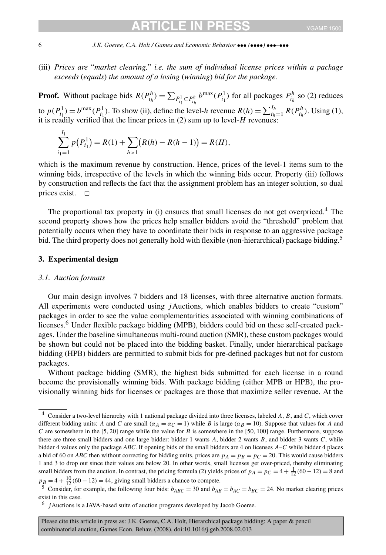#### 6 *J.K. Goeree, C.A. Holt / Games and Economic Behavior* ••• *(*••••*)* •••*–*•••

(iii) *Prices are* "*market clearing,*" *i.e. the sum of individual license prices within a package exceeds* (*equals*) *the amount of a losing* (*winning*) *bid for the package.*

**Proof.** Without package bids  $R(P_{i_h}^h) = \sum_{P_{i_1}^1 \subset P_{i_h}^h} b^{\max}(P_{i_1}^1)$  for all packages  $P_{i_h}^h$  so (2) reduces to  $p(P_{i_1}^1) = b^{\max}(P_{i_1}^1)$ . To show (ii), define the level-*h* revenue  $R(h) = \sum_{i_h=1}^{I_h} R(P_{i_h}^h)$ . Using (1), it is readily verified that the linear prices in (2) sum up to level-*H* revenues:

$$
\sum_{i_1=1}^{n_1} p(P_{i_1}^1) = R(1) + \sum_{h>1} (R(h) - R(h-1)) = R(H),
$$

which is the maximum revenue by construction. Hence, prices of the level-1 items sum to the winning bids, irrespective of the levels in which the winning bids occur. Property (iii) follows by construction and reflects the fact that the assignment problem has an integer solution, so dual prices exist.  $\square$ 

The proportional tax property in (i) ensures that small licenses do not get overpriced.<sup>4</sup> The second property shows how the prices help smaller bidders avoid the "threshold" problem that potentially occurs when they have to coordinate their bids in response to an aggressive package bid. The third property does not generally hold with flexible (non-hierarchical) package bidding.<sup>5</sup>

### **3. Experimental design**

#### *3.1. Auction formats*

*I*1

Our main design involves 7 bidders and 18 licenses, with three alternative auction formats. All experiments were conducted using *j*Auctions, which enables bidders to create "custom" packages in order to see the value complementarities associated with winning combinations of licenses.<sup>6</sup> Under flexible package bidding (MPB), bidders could bid on these self-created packages. Under the baseline simultaneous multi-round auction (SMR), these custom packages would be shown but could not be placed into the bidding basket. Finally, under hierarchical package bidding (HPB) bidders are permitted to submit bids for pre-defined packages but not for custom packages.

Without package bidding (SMR), the highest bids submitted for each license in a round become the provisionally winning bids. With package bidding (either MPB or HPB), the provisionally winning bids for licenses or packages are those that maximize seller revenue. At the

<sup>4</sup> Consider a two-level hierarchy with 1 national package divided into three licenses, labeled *A*, *B*, and *C*, which cover different bidding units: *A* and *C* are small ( $\alpha_A = \alpha_C = 1$ ) while *B* is large ( $\alpha_B = 10$ ). Suppose that values for *A* and *C* are somewhere in the [5*,* 20] range while the value for *B* is somewhere in the [50*,* 100] range. Furthermore, suppose there are three small bidders and one large bidder: bidder 1 wants *A*, bidder 2 wants *B*, and bidder 3 wants *C*, while bidder 4 values only the package *ABC*. If opening bids of the small bidders are 4 on licenses *A*–*C* while bidder 4 places a bid of 60 on *ABC* then without correcting for bidding units, prices are  $p_A = p_B = p_C = 20$ . This would cause bidders 1 and 3 to drop out since their values are below 20. In other words, small licenses get over-priced, thereby eliminating small bidders from the auction. In contrast, the pricing formula (2) yields prices of  $p_A = p_C = 4 + \frac{1}{12}(60 - 12) = 8$  and

 $p_B = 4 + \frac{10}{12}(60 - 12) = 44$ , giving small bidders a chance to compete.

<sup>&</sup>lt;sup>5</sup> Consider, for example, the following four bids:  $b_{ABC} = 30$  and  $b_{AB} = b_{AC} = b_{BC} = 24$ . No market clearing prices exist in this case.

<sup>6</sup> *j*Auctions is a JAVA-based suite of auction programs developed by Jacob Goeree.

Please cite this article in press as: J.K. Goeree, C.A. Holt, Hierarchical package bidding: A paper & pencil combinatorial auction, Games Econ. Behav. (2008), doi:10.1016/j.geb.2008.02.013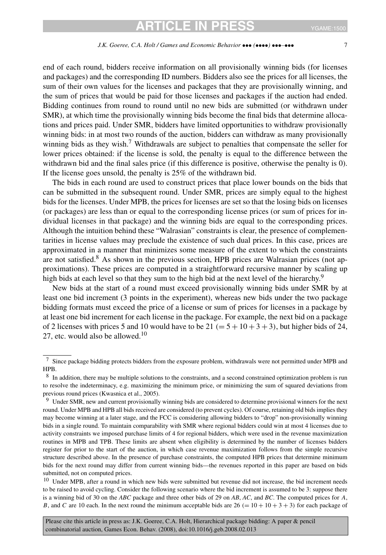#### *J.K. Goeree, C.A. Holt / Games and Economic Behavior* ••• *(*••••*)* •••*–*••• 7

end of each round, bidders receive information on all provisionally winning bids (for licenses and packages) and the corresponding ID numbers. Bidders also see the prices for all licenses, the sum of their own values for the licenses and packages that they are provisionally winning, and the sum of prices that would be paid for those licenses and packages if the auction had ended. Bidding continues from round to round until no new bids are submitted (or withdrawn under SMR), at which time the provisionally winning bids become the final bids that determine allocations and prices paid. Under SMR, bidders have limited opportunities to withdraw provisionally winning bids: in at most two rounds of the auction, bidders can withdraw as many provisionally winning bids as they wish.<sup>7</sup> Withdrawals are subject to penalties that compensate the seller for lower prices obtained: if the license is sold, the penalty is equal to the difference between the withdrawn bid and the final sales price (if this difference is positive, otherwise the penalty is 0). If the license goes unsold, the penalty is 25% of the withdrawn bid.

The bids in each round are used to construct prices that place lower bounds on the bids that can be submitted in the subsequent round. Under SMR, prices are simply equal to the highest bids for the licenses. Under MPB, the prices for licenses are set so that the losing bids on licenses (or packages) are less than or equal to the corresponding license prices (or sum of prices for individual licenses in that package) and the winning bids are equal to the corresponding prices. Although the intuition behind these "Walrasian" constraints is clear, the presence of complementarities in license values may preclude the existence of such dual prices. In this case, prices are approximated in a manner that minimizes some measure of the extent to which the constraints are not satisfied.<sup>8</sup> As shown in the previous section, HPB prices are Walrasian prices (not approximations). These prices are computed in a straightforward recursive manner by scaling up high bids at each level so that they sum to the high bid at the next level of the hierarchy.<sup>9</sup>

New bids at the start of a round must exceed provisionally winning bids under SMR by at least one bid increment (3 points in the experiment), whereas new bids under the two package bidding formats must exceed the price of a license or sum of prices for licenses in a package by at least one bid increment for each license in the package. For example, the next bid on a package of 2 licenses with prices 5 and 10 would have to be  $21 (= 5 + 10 + 3 + 3)$ , but higher bids of 24, 27, etc. would also be allowed. $10<sup>10</sup>$ 

<sup>7</sup> Since package bidding protects bidders from the exposure problem, withdrawals were not permitted under MPB and HPB.

<sup>&</sup>lt;sup>8</sup> In addition, there may be multiple solutions to the constraints, and a second constrained optimization problem is run to resolve the indeterminacy, e.g. maximizing the minimum price, or minimizing the sum of squared deviations from previous round prices (Kwasnica et al., 2005).

<sup>9</sup> Under SMR, new and current provisionally winning bids are considered to determine provisional winners for the next round. Under MPB and HPB all bids received are considered (to prevent cycles). Of course, retaining old bids implies they may become winning at a later stage, and the FCC is considering allowing bidders to "drop" non-provisionally winning bids in a single round. To maintain comparability with SMR where regional bidders could win at most 4 licenses due to activity constraints we imposed purchase limits of 4 for regional bidders, which were used in the revenue maximization routines in MPB and TPB. These limits are absent when eligibility is determined by the number of licenses bidders register for prior to the start of the auction, in which case revenue maximization follows from the simple recursive structure described above. In the presence of purchase constraints, the computed HPB prices that determine minimum bids for the next round may differ from current winning bids—the revenues reported in this paper are based on bids submitted, not on computed prices.

<sup>&</sup>lt;sup>10</sup> Under MPB, after a round in which new bids were submitted but revenue did not increase, the bid increment needs to be raised to avoid cycling. Consider the following scenario where the bid increment is assumed to be 3: suppose there is a winning bid of 30 on the *ABC* package and three other bids of 29 on *AB*, *AC*, and *BC*. The computed prices for *A*, *B*, and *C* are 10 each. In the next round the minimum acceptable bids are  $26 (= 10 + 10 + 3 + 3)$  for each package of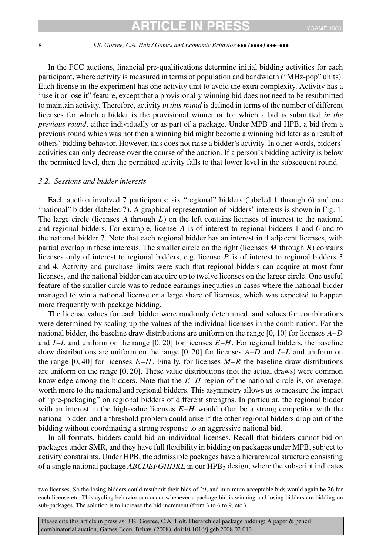#### 8 *J.K. Goeree, C.A. Holt / Games and Economic Behavior* ••• *(*••••*)* •••*–*•••

In the FCC auctions, financial pre-qualifications determine initial bidding activities for each participant, where activity is measured in terms of population and bandwidth ("MHz-pop" units). Each license in the experiment has one activity unit to avoid the extra complexity. Activity has a "use it or lose it" feature, except that a provisionally winning bid does not need to be resubmitted to maintain activity. Therefore, activity *in this round* is defined in terms of the number of different licenses for which a bidder is the provisional winner or for which a bid is submitted *in the previous round*, either individually or as part of a package. Under MPB and HPB, a bid from a previous round which was not then a winning bid might become a winning bid later as a result of others' bidding behavior. However, this does not raise a bidder's activity. In other words, bidders' activities can only decrease over the course of the auction. If a person's bidding activity is below the permitted level, then the permitted activity falls to that lower level in the subsequent round.

#### *3.2. Sessions and bidder interests*

Each auction involved 7 participants: six "regional" bidders (labeled 1 through 6) and one "national" bidder (labeled 7). A graphical representation of bidders' interests is shown in Fig. 1. The large circle (licenses *A* through *L*) on the left contains licenses of interest to the national and regional bidders. For example, license *A* is of interest to regional bidders 1 and 6 and to the national bidder 7. Note that each regional bidder has an interest in 4 adjacent licenses, with partial overlap in these interests. The smaller circle on the right (licenses *M* through *R*) contains licenses only of interest to regional bidders, e.g. license *P* is of interest to regional bidders 3 and 4. Activity and purchase limits were such that regional bidders can acquire at most four licenses, and the national bidder can acquire up to twelve licenses on the larger circle. One useful feature of the smaller circle was to reduce earnings inequities in cases where the national bidder managed to win a national license or a large share of licenses, which was expected to happen more frequently with package bidding.

The license values for each bidder were randomly determined, and values for combinations were determined by scaling up the values of the individual licenses in the combination. For the national bidder, the baseline draw distributions are uniform on the range [0, 10] for licenses *A*–*D* and *I*–*L* and uniform on the range [0*,* 20] for licenses *E*–*H*. For regional bidders, the baseline draw distributions are uniform on the range [0*,* 20] for licenses *A*–*D* and *I*–*L* and uniform on the range  $[0, 40]$  for licenses  $E-H$ . Finally, for licenses  $M-R$  the baseline draw distributions are uniform on the range [0*,* 20]. These value distributions (not the actual draws) were common knowledge among the bidders. Note that the  $E-H$  region of the national circle is, on average, worth more to the national and regional bidders. This asymmetry allows us to measure the impact of "pre-packaging" on regional bidders of different strengths. In particular, the regional bidder with an interest in the high-value licenses  $E-H$  would often be a strong competitor with the national bidder, and a threshold problem could arise if the other regional bidders drop out of the bidding without coordinating a strong response to an aggressive national bid.

In all formats, bidders could bid on individual licenses. Recall that bidders cannot bid on packages under SMR, and they have full flexibility in bidding on packages under MPB, subject to activity constraints. Under HPB, the admissible packages have a hierarchical structure consisting of a single national package *ABCDEFGHIJKL* in our HPB2 design, where the subscript indicates

two licenses. So the losing bidders could resubmit their bids of 29, and minimum acceptable bids would again be 26 for each license etc. This cycling behavior can occur whenever a package bid is winning and losing bidders are bidding on sub-packages. The solution is to increase the bid increment (from 3 to 6 to 9, etc.).

Please cite this article in press as: J.K. Goeree, C.A. Holt, Hierarchical package bidding: A paper & pencil combinatorial auction, Games Econ. Behav. (2008), doi:10.1016/j.geb.2008.02.013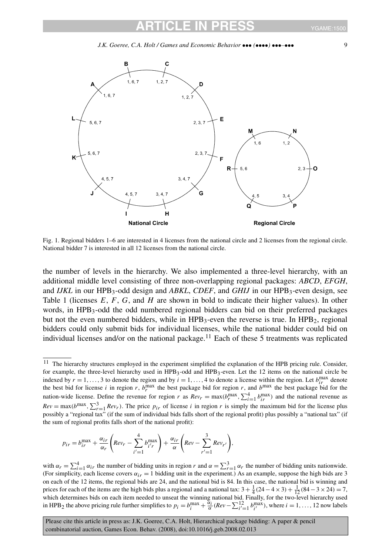*J.K. Goeree, C.A. Holt / Games and Economic Behavior* ••• *(*••••*)* •••*–*••• 9



Fig. 1. Regional bidders 1–6 are interested in 4 licenses from the national circle and 2 licenses from the regional circle. National bidder 7 is interested in all 12 licenses from the national circle.

the number of levels in the hierarchy. We also implemented a three-level hierarchy, with an additional middle level consisting of three non-overlapping regional packages: *ABCD*, *EFGH*, and *IJKL* in our HPB3-odd design and *ABKL*, *CDEF*, and *GHIJ* in our HPB3-even design, see Table 1 (licenses *E*, *F*, *G*, and *H* are shown in bold to indicate their higher values). In other words, in HPB3-odd the odd numbered regional bidders can bid on their preferred packages but not the even numbered bidders, while in  $HPB<sub>3</sub>$ -even the reverse is true. In  $HPB<sub>2</sub>$ , regional bidders could only submit bids for individual licenses, while the national bidder could bid on individual licenses and/or on the national package.<sup>11</sup> Each of these 5 treatments was replicated

$$
p_{ir} = b_{ir}^{\max} + \frac{\alpha_{ir}}{\alpha_r} \left( Rev_r - \sum_{i'=1}^4 b_{i'r}^{\max} \right) + \frac{\alpha_{ir}}{\alpha} \left( Rev - \sum_{r'=1}^3 Rev_{r'} \right),
$$

with  $\alpha_r = \sum_{i=1}^4 \alpha_{ir}$  the number of bidding units in region *r* and  $\alpha = \sum_{r=1}^3 \alpha_r$  the number of bidding units nationwide. (For simplicity, each license covers  $\alpha_{ir} = 1$  bidding unit in the experiment.) As an example, suppose the high bids are 3 on each of the 12 items, the regional bids are 24, and the national bid is 84. In this case, the national bid is winning and prices for each of the items are the high bids plus a regional and a national tax:  $3 + \frac{1}{4}(24 - 4 \times 3) + \frac{1}{12}(84 - 3 \times 24) = 7$ , which determines bids on each item needed to unseat the winning national bid. Finally, for the two-level hierarchy used<br>in HPB<sub>2</sub> the above pricing rule further simplifies to  $p_i = b_i^{\max} + \frac{\alpha_i}{\alpha} (Rev - \sum_{i'=1}^{12} b_{i'}^{\max})$ ,

<sup>11</sup> The hierarchy structures employed in the experiment simplified the explanation of the HPB pricing rule. Consider, for example, the three-level hierarchy used in HPB<sub>3</sub>-odd and HPB<sub>3</sub>-even. Let the 12 items on the national circle be indexed by  $r = 1, \ldots, 3$  to denote the region and by  $i = 1, \ldots, 4$  to denote a license within the region. Let  $b_{ir}^{\max}$  denote the best bid for license *i* in region *r*,  $b_r^{\max}$  the best package bid for region *r*, and  $b^{\max}$  the best package bid for the nation-wide license. Define the revenue for region *r* as  $Rev_r = \max(b_r^{\max}, \sum_{i=1}^4 b_{ir}^{\max})$  and the national revenue as  $Rev = \max(b^{\text{max}}, \sum_{i=1}^{3} Rev_r)$ . The price  $p_{ir}$  of license *i* in region *r* is simply the maximum bid for the license plus possibly a "regional tax" (if the sum of individual bids falls short of the regional profit) plus possibly a "national tax" (if the sum of regional profits falls short of the national profit):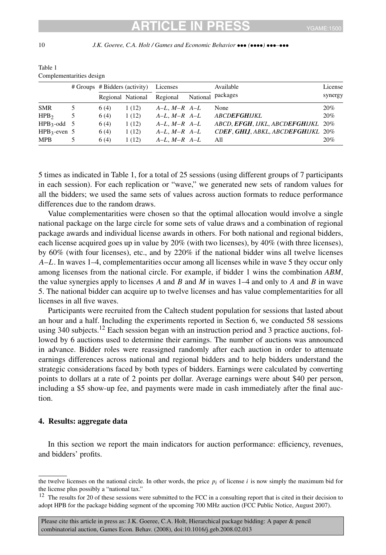#### 10 *J.K. Goeree, C.A. Holt / Games and Economic Behavior* ••• *(*••••*)* •••*–*•••

|                     |   |                   | $#$ Groups $#$ Bidders (activity)<br>Licenses |                     | Available                          | License |
|---------------------|---|-------------------|-----------------------------------------------|---------------------|------------------------------------|---------|
|                     |   | Regional National |                                               | Regional            | National packages                  | synergy |
| <b>SMR</b>          | 5 | 6(4)              | 1(12)                                         | $A-L$ , $M-R$ $A-L$ | None                               | 20%     |
| HPB <sub>2</sub>    | 5 | 6(4)              | 1(12)                                         | $A-L$ , $M-R$ $A-L$ | <b>ABCDEFGHIJKL</b>                | 20%     |
| $HPB_3-odd \quad 5$ |   | 6(4)              | 1(12)                                         | $A-L$ , $M-R$ $A-L$ | ABCD, EFGH, IJKL, ABCDEFGHIJKL 20% |         |
| $HPB_3$ -even 5     |   | 6(4)              | 1(12)                                         | $A-L$ , $M-R$ $A-L$ | CDEF, GHIJ, ABKL, ABCDEFGHIJKL 20% |         |
| MPB                 |   | 6(4)              | 1(12)                                         | $A-L$ , $M-R$ $A-L$ | All                                | 20%     |

Table 1 Complementarities design

5 times as indicated in Table 1, for a total of 25 sessions (using different groups of 7 participants in each session). For each replication or "wave," we generated new sets of random values for all the bidders; we used the same sets of values across auction formats to reduce performance differences due to the random draws.

Value complementarities were chosen so that the optimal allocation would involve a single national package on the large circle for some sets of value draws and a combination of regional package awards and individual license awards in others. For both national and regional bidders, each license acquired goes up in value by 20% (with two licenses), by 40% (with three licenses), by 60% (with four licenses), etc., and by 220% if the national bidder wins all twelve licenses *A*–*L*. In waves 1–4, complementarities occur among all licenses while in wave 5 they occur only among licenses from the national circle. For example, if bidder 1 wins the combination *ABM*, the value synergies apply to licenses *A* and *B* and *M* in waves 1–4 and only to *A* and *B* in wave 5. The national bidder can acquire up to twelve licenses and has value complementarities for all licenses in all five waves.

Participants were recruited from the Caltech student population for sessions that lasted about an hour and a half. Including the experiments reported in Section 6, we conducted 58 sessions using 340 subjects.<sup>12</sup> Each session began with an instruction period and 3 practice auctions, followed by 6 auctions used to determine their earnings. The number of auctions was announced in advance. Bidder roles were reassigned randomly after each auction in order to attenuate earnings differences across national and regional bidders and to help bidders understand the strategic considerations faced by both types of bidders. Earnings were calculated by converting points to dollars at a rate of 2 points per dollar. Average earnings were about \$40 per person, including a \$5 show-up fee, and payments were made in cash immediately after the final auction.

### **4. Results: aggregate data**

In this section we report the main indicators for auction performance: efficiency, revenues, and bidders' profits.

Please cite this article in press as: J.K. Goeree, C.A. Holt, Hierarchical package bidding: A paper & pencil combinatorial auction, Games Econ. Behav. (2008), doi:10.1016/j.geb.2008.02.013

the twelve licenses on the national circle. In other words, the price  $p_i$  of license *i* is now simply the maximum bid for the license plus possibly a "national tax."

 $12$  The results for 20 of these sessions were submitted to the FCC in a consulting report that is cited in their decision to adopt HPB for the package bidding segment of the upcoming 700 MHz auction (FCC Public Notice, August 2007).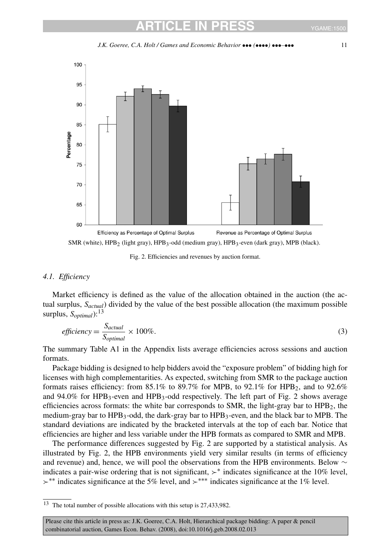#### *J.K. Goeree, C.A. Holt / Games and Economic Behavior* ••• *(*••••*)* •••*–*••• 11



Fig. 2. Efficiencies and revenues by auction format.

### *4.1. Efficiency*

Market efficiency is defined as the value of the allocation obtained in the auction (the actual surplus, *Sactual*) divided by the value of the best possible allocation (the maximum possible surplus,  $S_{\text{optimal}}$ ):<sup>13</sup>

$$
efficiency = \frac{S_{actual}}{S_{optimal}} \times 100\%.
$$
\n(3)

The summary Table A1 in the Appendix lists average efficiencies across sessions and auction formats.

Package bidding is designed to help bidders avoid the "exposure problem" of bidding high for licenses with high complementarities. As expected, switching from SMR to the package auction formats raises efficiency: from  $85.1\%$  to  $89.7\%$  for MPB, to  $92.1\%$  for HPB<sub>2</sub>, and to  $92.6\%$ and  $94.0\%$  for HPB<sub>3</sub>-even and HPB<sub>3</sub>-odd respectively. The left part of Fig. 2 shows average efficiencies across formats: the white bar corresponds to SMR, the light-gray bar to  $HPB<sub>2</sub>$ , the medium-gray bar to HPB3-odd, the dark-gray bar to HPB3-even, and the black bar to MPB. The standard deviations are indicated by the bracketed intervals at the top of each bar. Notice that efficiencies are higher and less variable under the HPB formats as compared to SMR and MPB.

The performance differences suggested by Fig. 2 are supported by a statistical analysis. As illustrated by Fig. 2, the HPB environments yield very similar results (in terms of efficiency and revenue) and, hence, we will pool the observations from the HPB environments. Below  $\sim$ indicates a pair-wise ordering that is not significant,  $>^*$  indicates significance at the 10% level,  $\succ^{\ast\ast}$  indicates significance at the 5% level, and  $\succ^{\ast\ast\ast}$  indicates significance at the 1% level.

<sup>13</sup> The total number of possible allocations with this setup is 27,433,982.

Please cite this article in press as: J.K. Goeree, C.A. Holt, Hierarchical package bidding: A paper & pencil combinatorial auction, Games Econ. Behav. (2008), doi:10.1016/j.geb.2008.02.013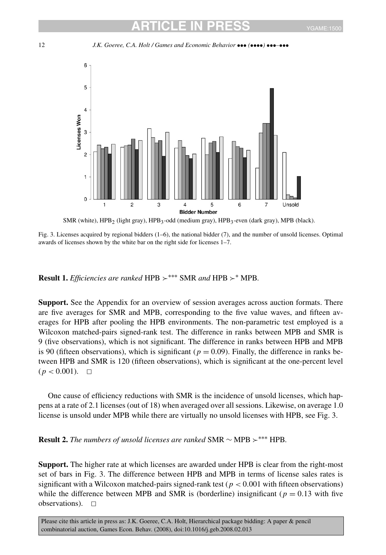12 *J.K. Goeree, C.A. Holt / Games and Economic Behavior* ••• *(*••••*)* •••*–*•••



Fig. 3. Licenses acquired by regional bidders (1–6), the national bidder (7), and the number of unsold licenses. Optimal awards of licenses shown by the white bar on the right side for licenses 1–7.

**Result 1.** *Efficiencies are ranked* HPB ≻<sup>\*\*\*</sup> SMR *and* HPB ≻<sup>\*</sup> MPB.

**Support.** See the Appendix for an overview of session averages across auction formats. There are five averages for SMR and MPB, corresponding to the five value waves, and fifteen averages for HPB after pooling the HPB environments. The non-parametric test employed is a Wilcoxon matched-pairs signed-rank test. The difference in ranks between MPB and SMR is 9 (five observations), which is not significant. The difference in ranks between HPB and MPB is 90 (fifteen observations), which is significant ( $p = 0.09$ ). Finally, the difference in ranks between HPB and SMR is 120 (fifteen observations), which is significant at the one-percent level  $(p < 0.001)$ .  $\Box$ 

One cause of efficiency reductions with SMR is the incidence of unsold licenses, which happens at a rate of 2.1 licenses (out of 18) when averaged over all sessions. Likewise, on average 1.0 license is unsold under MPB while there are virtually no unsold licenses with HPB, see Fig. 3.

### **Result 2.** *The numbers of unsold licenses are ranked* SMR ∼ MPB ∗∗∗ HPB*.*

**Support.** The higher rate at which licenses are awarded under HPB is clear from the right-most set of bars in Fig. 3. The difference between HPB and MPB in terms of license sales rates is significant with a Wilcoxon matched-pairs signed-rank test ( $p < 0.001$  with fifteen observations) while the difference between MPB and SMR is (borderline) insignificant ( $p = 0.13$  with five observations).  $\Box$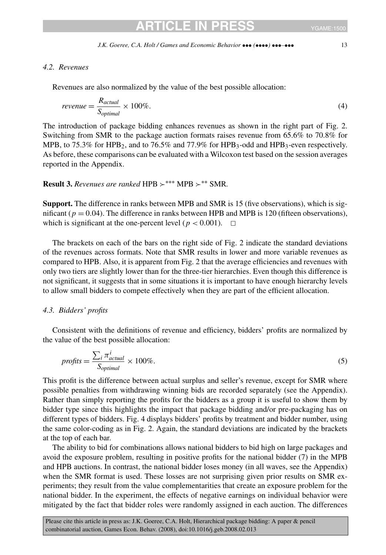### *4.2. Revenues*

Revenues are also normalized by the value of the best possible allocation:

$$
revenue = \frac{R_{actual}}{S_{optimal}} \times 100\%.\tag{4}
$$

The introduction of package bidding enhances revenues as shown in the right part of Fig. 2. Switching from SMR to the package auction formats raises revenue from 65.6% to 70.8% for MPB, to 75.3% for HPB<sub>2</sub>, and to 76.5% and 77.9% for HPB<sub>3</sub>-odd and HPB<sub>3</sub>-even respectively. As before, these comparisons can be evaluated with a Wilcoxon test based on the session averages reported in the Appendix.

### **Result 3.** *Revenues are ranked* HPB ∗∗∗ MPB ∗∗ SMR*.*

**Support.** The difference in ranks between MPB and SMR is 15 (five observations), which is significant ( $p = 0.04$ ). The difference in ranks between HPB and MPB is 120 (fifteen observations), which is significant at the one-percent level ( $p < 0.001$ ).  $\Box$ 

The brackets on each of the bars on the right side of Fig. 2 indicate the standard deviations of the revenues across formats. Note that SMR results in lower and more variable revenues as compared to HPB. Also, it is apparent from Fig. 2 that the average efficiencies and revenues with only two tiers are slightly lower than for the three-tier hierarchies. Even though this difference is not significant, it suggests that in some situations it is important to have enough hierarchy levels to allow small bidders to compete effectively when they are part of the efficient allocation.

#### *4.3. Bidders' profits*

Consistent with the definitions of revenue and efficiency, bidders' profits are normalized by the value of the best possible allocation:

$$
profits = \frac{\sum_{i} \pi_{actual}^{i}}{S_{optimal}} \times 100\%.
$$
\n
$$
(5)
$$

This profit is the difference between actual surplus and seller's revenue, except for SMR where possible penalties from withdrawing winning bids are recorded separately (see the Appendix). Rather than simply reporting the profits for the bidders as a group it is useful to show them by bidder type since this highlights the impact that package bidding and/or pre-packaging has on different types of bidders. Fig. 4 displays bidders' profits by treatment and bidder number, using the same color-coding as in Fig. 2. Again, the standard deviations are indicated by the brackets at the top of each bar.

The ability to bid for combinations allows national bidders to bid high on large packages and avoid the exposure problem, resulting in positive profits for the national bidder (7) in the MPB and HPB auctions. In contrast, the national bidder loses money (in all waves, see the Appendix) when the SMR format is used. These losses are not surprising given prior results on SMR experiments; they result from the value complementarities that create an exposure problem for the national bidder. In the experiment, the effects of negative earnings on individual behavior were mitigated by the fact that bidder roles were randomly assigned in each auction. The differences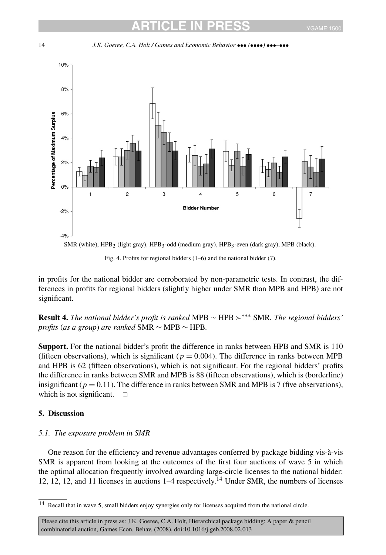14 *J.K. Goeree, C.A. Holt / Games and Economic Behavior* ••• *(*••••*)* •••*–*•••



SMR (white), HPB<sub>2</sub> (light gray), HPB<sub>3</sub>-odd (medium gray), HPB<sub>3</sub>-even (dark gray), MPB (black).



in profits for the national bidder are corroborated by non-parametric tests. In contrast, the differences in profits for regional bidders (slightly higher under SMR than MPB and HPB) are not significant.

**Result 4.** *The national bidder's profit is ranked* MPB ∼ HPB ∗∗∗ SMR*. The regional bidders' profits* (*as a group*) *are ranked* SMR ∼ MPB ∼ HPB*.*

**Support.** For the national bidder's profit the difference in ranks between HPB and SMR is 110 (fifteen observations), which is significant ( $p = 0.004$ ). The difference in ranks between MPB and HPB is 62 (fifteen observations), which is not significant. For the regional bidders' profits the difference in ranks between SMR and MPB is 88 (fifteen observations), which is (borderline) insignificant ( $p = 0.11$ ). The difference in ranks between SMR and MPB is 7 (five observations), which is not significant.  $\square$ 

### **5. Discussion**

### *5.1. The exposure problem in SMR*

One reason for the efficiency and revenue advantages conferred by package bidding vis-à-vis SMR is apparent from looking at the outcomes of the first four auctions of wave 5 in which the optimal allocation frequently involved awarding large-circle licenses to the national bidder: 12, 12, 12, and 11 licenses in auctions 1–4 respectively.<sup>14</sup> Under SMR, the numbers of licenses

<sup>&</sup>lt;sup>14</sup> Recall that in wave 5, small bidders enjoy synergies only for licenses acquired from the national circle.

Please cite this article in press as: J.K. Goeree, C.A. Holt, Hierarchical package bidding: A paper & pencil combinatorial auction, Games Econ. Behav. (2008), doi:10.1016/j.geb.2008.02.013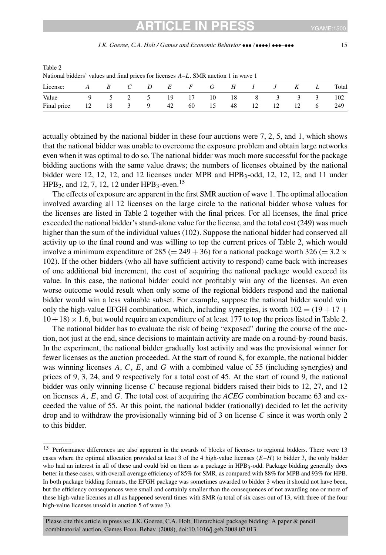*J.K. Goeree, C.A. Holt / Games and Economic Behavior* ••• *(*••••*)* •••*–*••• 15

|                                        | National bidders' values and final prices for licenses A–L. SMR auction 1 in wave 1 |  |  |  |  |  |  |  |  |  |  |  |  |
|----------------------------------------|-------------------------------------------------------------------------------------|--|--|--|--|--|--|--|--|--|--|--|--|
| License: A B C D E F G H I J K L Total |                                                                                     |  |  |  |  |  |  |  |  |  |  |  |  |
| Value 9 5 2 5 19 17 10 18 8 3 3 3 102  |                                                                                     |  |  |  |  |  |  |  |  |  |  |  |  |

Final price 12 18 3 9 42 60 15 48 12 12 12 6 249

Table 2

actually obtained by the national bidder in these four auctions were 7, 2, 5, and 1, which shows that the national bidder was unable to overcome the exposure problem and obtain large networks even when it was optimal to do so. The national bidder was much more successful for the package bidding auctions with the same value draws; the numbers of licenses obtained by the national bidder were  $12$ ,  $12$ ,  $12$ , and  $12$  licenses under MPB and HPB<sub>3</sub>-odd,  $12$ ,  $12$ ,  $12$ , and  $11$  under HPB<sub>2</sub>, and 12, 7, 12, 12 under HPB<sub>3</sub>-even.<sup>15</sup>

The effects of exposure are apparent in the first SMR auction of wave 1. The optimal allocation involved awarding all 12 licenses on the large circle to the national bidder whose values for the licenses are listed in Table 2 together with the final prices. For all licenses, the final price exceeded the national bidder's stand-alone value for the license, and the total cost (249) was much higher than the sum of the individual values (102). Suppose the national bidder had conserved all activity up to the final round and was willing to top the current prices of Table 2, which would involve a minimum expenditure of 285 ( $= 249 + 36$ ) for a national package worth 326 ( $= 3.2 \times$ 102). If the other bidders (who all have sufficient activity to respond) came back with increases of one additional bid increment, the cost of acquiring the national package would exceed its value. In this case, the national bidder could not profitably win any of the licenses. An even worse outcome would result when only some of the regional bidders respond and the national bidder would win a less valuable subset. For example, suppose the national bidder would win only the high-value EFGH combination, which, including synergies, is worth  $102 = (19 + 17 + 17)$  $10+18 \times 1.6$ , but would require an expenditure of at least 177 to top the prices listed in Table 2.

The national bidder has to evaluate the risk of being "exposed" during the course of the auction, not just at the end, since decisions to maintain activity are made on a round-by-round basis. In the experiment, the national bidder gradually lost activity and was the provisional winner for fewer licenses as the auction proceeded. At the start of round 8, for example, the national bidder was winning licenses *A*, *C*, *E*, and *G* with a combined value of 55 (including synergies) and prices of 9, 3, 24, and 9 respectively for a total cost of 45. At the start of round 9, the national bidder was only winning license *C* because regional bidders raised their bids to 12, 27, and 12 on licenses *A*, *E*, and *G*. The total cost of acquiring the *ACEG* combination became 63 and exceeded the value of 55. At this point, the national bidder (rationally) decided to let the activity drop and to withdraw the provisionally winning bid of 3 on license *C* since it was worth only 2 to this bidder.

<sup>15</sup> Performance differences are also apparent in the awards of blocks of licenses to regional bidders. There were 13 cases where the optimal allocation provided at least 3 of the 4 high-value licenses  $(E-H)$  to bidder 3, the only bidder who had an interest in all of these and could bid on them as a package in HPB3-odd. Package bidding generally does better in these cases, with overall average efficiency of 85% for SMR, as compared with 88% for MPB and 93% for HPB. In both package bidding formats, the EFGH package was sometimes awarded to bidder 3 when it should not have been, but the efficiency consequences were small and certainly smaller than the consequences of not awarding one or more of these high-value licenses at all as happened several times with SMR (a total of six cases out of 13, with three of the four high-value licenses unsold in auction 5 of wave 3).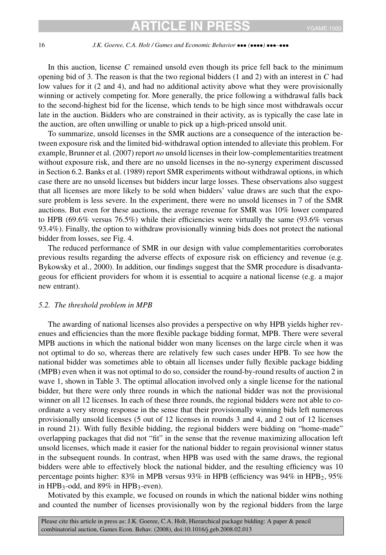#### 16 *J.K. Goeree, C.A. Holt / Games and Economic Behavior* ••• *(*••••*)* •••*–*•••

In this auction, license *C* remained unsold even though its price fell back to the minimum opening bid of 3. The reason is that the two regional bidders (1 and 2) with an interest in *C* had low values for it (2 and 4), and had no additional activity above what they were provisionally winning or actively competing for. More generally, the price following a withdrawal falls back to the second-highest bid for the license, which tends to be high since most withdrawals occur late in the auction. Bidders who are constrained in their activity, as is typically the case late in the auction, are often unwilling or unable to pick up a high-priced unsold unit.

To summarize, unsold licenses in the SMR auctions are a consequence of the interaction between exposure risk and the limited bid-withdrawal option intended to alleviate this problem. For example, Brunner et al. (2007) report *no* unsold licenses in their low-complementarities treatment without exposure risk, and there are no unsold licenses in the no-synergy experiment discussed in Section 6.2. Banks et al. (1989) report SMR experiments without withdrawal options, in which case there are no unsold licenses but bidders incur large losses. These observations also suggest that all licenses are more likely to be sold when bidders' value draws are such that the exposure problem is less severe. In the experiment, there were no unsold licenses in 7 of the SMR auctions. But even for these auctions, the average revenue for SMR was 10% lower compared to HPB  $(69.6\%$  versus 76.5%) while their efficiencies were virtually the same  $(93.6\%$  versus 93.4%). Finally, the option to withdraw provisionally winning bids does not protect the national bidder from losses, see Fig. 4.

The reduced performance of SMR in our design with value complementarities corroborates previous results regarding the adverse effects of exposure risk on efficiency and revenue (e.g. Bykowsky et al., 2000). In addition, our findings suggest that the SMR procedure is disadvantageous for efficient providers for whom it is essential to acquire a national license (e.g. a major new entrant).

#### *5.2. The threshold problem in MPB*

The awarding of national licenses also provides a perspective on why HPB yields higher revenues and efficiencies than the more flexible package bidding format, MPB. There were several MPB auctions in which the national bidder won many licenses on the large circle when it was not optimal to do so, whereas there are relatively few such cases under HPB. To see how the national bidder was sometimes able to obtain all licenses under fully flexible package bidding (MPB) even when it was not optimal to do so, consider the round-by-round results of auction 2 in wave 1, shown in Table 3. The optimal allocation involved only a single license for the national bidder, but there were only three rounds in which the national bidder was not the provisional winner on all 12 licenses. In each of these three rounds, the regional bidders were not able to coordinate a very strong response in the sense that their provisionally winning bids left numerous provisionally unsold licenses (5 out of 12 licenses in rounds 3 and 4, and 2 out of 12 licenses in round 21). With fully flexible bidding, the regional bidders were bidding on "home-made" overlapping packages that did not "fit" in the sense that the revenue maximizing allocation left unsold licenses, which made it easier for the national bidder to regain provisional winner status in the subsequent rounds. In contrast, when HPB was used with the same draws, the regional bidders were able to effectively block the national bidder, and the resulting efficiency was 10 percentage points higher: 83% in MPB versus 93% in HPB (efficiency was 94% in HPB<sub>2</sub>, 95% in HPB<sub>3</sub>-odd, and  $89\%$  in HPB<sub>3</sub>-even).

Motivated by this example, we focused on rounds in which the national bidder wins nothing and counted the number of licenses provisionally won by the regional bidders from the large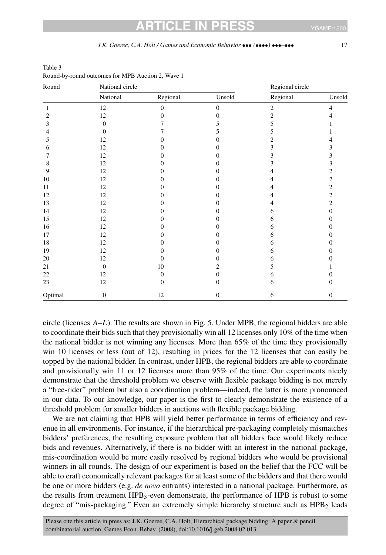#### *J.K. Goeree, C.A. Holt / Games and Economic Behavior* ••• *(*••••*)* •••*–*••• 17

| Round   | National circle |          |          | Regional circle |              |
|---------|-----------------|----------|----------|-----------------|--------------|
|         | National        | Regional | Unsold   | Regional        | Unsold       |
| 1       | 12              | $\theta$ | $\Omega$ | $\overline{2}$  | 4            |
| 2       | 12              | $\Omega$ | 0        | 2               |              |
| 3       | $\overline{0}$  |          | C.       | 5               |              |
|         | $\Omega$        |          | 5        | 5               |              |
| 5       | 12              | 0        | 0        | 2               |              |
| 6       | 12              | $_{0}$   | 0        | 3               | 3            |
|         | 12              | 0        |          | 3               | 3            |
| 8       | 12              | 0        | 0        | 3               | 3            |
| 9       | 12              | 0        | 0        | 4               | 2            |
| 10      | 12              | 0        |          |                 | 2            |
| 11      | 12              | 0        | 0        | 4               | 2            |
| 12      | 12              | 0        | 0        | 4               | 2            |
| 13      | 12              | 0        |          |                 | 2            |
| 14      | 12              | 0        | 0        | 6               | 0            |
| 15      | 12              | $_{0}$   | 0        | 6               |              |
| 16      | 12              | 0        |          | 6               |              |
| 17      | 12              | 0        | 0        | 6               |              |
| 18      | 12              | $\theta$ |          | 6               |              |
| 19      | 12              | 0        |          | 6               |              |
| 20      | 12              | $\Omega$ | 0        | 6               |              |
| 21      | $\overline{0}$  | 10       | 2        | 5               |              |
| 22      | 12              | $\Omega$ | 0        | 6               | Ω            |
| 23      | 12              | $\theta$ | 0        | 6               | 0            |
| Optimal | $\mathbf{0}$    | 12       | $\theta$ | 6               | $\mathbf{0}$ |

Table 3 Round-by-round outcomes for MPB Auction 2, Wave 1

circle (licenses *A*–*L*). The results are shown in Fig. 5. Under MPB, the regional bidders are able to coordinate their bids such that they provisionally win all 12 licenses only 10% of the time when the national bidder is not winning any licenses. More than 65% of the time they provisionally win 10 licenses or less (out of 12), resulting in prices for the 12 licenses that can easily be topped by the national bidder. In contrast, under HPB, the regional bidders are able to coordinate and provisionally win 11 or 12 licenses more than 95% of the time. Our experiments nicely demonstrate that the threshold problem we observe with flexible package bidding is not merely a "free-rider" problem but also a coordination problem—indeed, the latter is more pronounced in our data. To our knowledge, our paper is the first to clearly demonstrate the existence of a threshold problem for smaller bidders in auctions with flexible package bidding.

We are not claiming that HPB will yield better performance in terms of efficiency and revenue in all environments. For instance, if the hierarchical pre-packaging completely mismatches bidders' preferences, the resulting exposure problem that all bidders face would likely reduce bids and revenues. Alternatively, if there is no bidder with an interest in the national package, mis-coordination would be more easily resolved by regional bidders who would be provisional winners in all rounds. The design of our experiment is based on the belief that the FCC will be able to craft economically relevant packages for at least some of the bidders and that there would be one or more bidders (e.g. *de novo* entrants) interested in a national package. Furthermore, as the results from treatment HPB3-even demonstrate, the performance of HPB is robust to some degree of "mis-packaging." Even an extremely simple hierarchy structure such as HPB<sub>2</sub> leads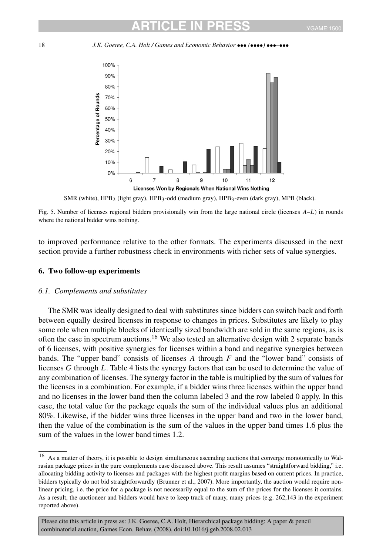#### 18 *J.K. Goeree, C.A. Holt / Games and Economic Behavior* ••• *(*••••*)* •••*–*•••



SMR (white), HPB<sub>2</sub> (light gray), HPB<sub>3</sub>-odd (medium gray), HPB<sub>3</sub>-even (dark gray), MPB (black).

Fig. 5. Number of licenses regional bidders provisionally win from the large national circle (licenses *A*–*L*) in rounds where the national bidder wins nothing.

to improved performance relative to the other formats. The experiments discussed in the next section provide a further robustness check in environments with richer sets of value synergies.

### **6. Two follow-up experiments**

#### *6.1. Complements and substitutes*

The SMR was ideally designed to deal with substitutes since bidders can switch back and forth between equally desired licenses in response to changes in prices. Substitutes are likely to play some role when multiple blocks of identically sized bandwidth are sold in the same regions, as is often the case in spectrum auctions.16 We also tested an alternative design with 2 separate bands of 6 licenses, with positive synergies for licenses within a band and negative synergies between bands. The "upper band" consists of licenses *A* through *F* and the "lower band" consists of licenses *G* through *L*. Table 4 lists the synergy factors that can be used to determine the value of any combination of licenses. The synergy factor in the table is multiplied by the sum of values for the licenses in a combination. For example, if a bidder wins three licenses within the upper band and no licenses in the lower band then the column labeled 3 and the row labeled 0 apply. In this case, the total value for the package equals the sum of the individual values plus an additional 80%. Likewise, if the bidder wins three licenses in the upper band and two in the lower band, then the value of the combination is the sum of the values in the upper band times 1.6 plus the sum of the values in the lower band times 1.2.

<sup>&</sup>lt;sup>16</sup> As a matter of theory, it is possible to design simultaneous ascending auctions that converge monotonically to Walrasian package prices in the pure complements case discussed above. This result assumes "straightforward bidding," i.e. allocating bidding activity to licenses and packages with the highest profit margins based on current prices. In practice, bidders typically do not bid straightforwardly (Brunner et al., 2007). More importantly, the auction would require nonlinear pricing, i.e. the price for a package is not necessarily equal to the sum of the prices for the licenses it contains. As a result, the auctioneer and bidders would have to keep track of many, many prices (e.g. 262,143 in the experiment reported above).

Please cite this article in press as: J.K. Goeree, C.A. Holt, Hierarchical package bidding: A paper & pencil combinatorial auction, Games Econ. Behav. (2008), doi:10.1016/j.geb.2008.02.013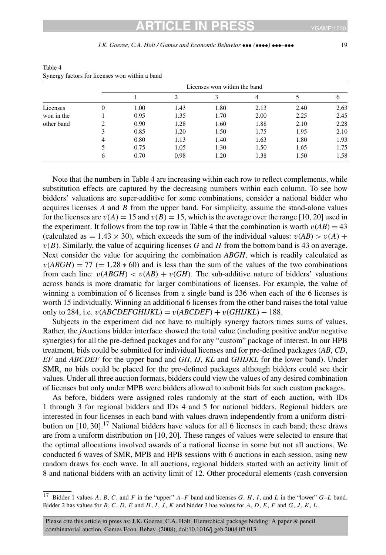*J.K. Goeree, C.A. Holt / Games and Economic Behavior* ••• *(*••••*)* •••*–*••• 19

|            |   | Licenses won within the band |      |      |      |      |      |  |  |  |
|------------|---|------------------------------|------|------|------|------|------|--|--|--|
|            |   |                              | ◠    | 3    | 4    |      | O    |  |  |  |
| Licenses   | 0 | 1.00                         | 1.43 | 1.80 | 2.13 | 2.40 | 2.63 |  |  |  |
| won in the |   | 0.95                         | 1.35 | 1.70 | 2.00 | 2.25 | 2.45 |  |  |  |
| other band | ◠ | 0.90                         | 1.28 | 1.60 | 1.88 | 2.10 | 2.28 |  |  |  |
|            |   | 0.85                         | 1.20 | 1.50 | 1.75 | 1.95 | 2.10 |  |  |  |
|            | 4 | 0.80                         | 1.13 | 1.40 | 1.63 | 1.80 | 1.93 |  |  |  |
|            |   | 0.75                         | 1.05 | 1.30 | 1.50 | 1.65 | 1.75 |  |  |  |
|            | 6 | 0.70                         | 0.98 | 1.20 | 1.38 | 1.50 | 1.58 |  |  |  |

Table 4 Synergy factors for licenses won within a band

Note that the numbers in Table 4 are increasing within each row to reflect complements, while substitution effects are captured by the decreasing numbers within each column. To see how bidders' valuations are super-additive for some combinations, consider a national bidder who acquires licenses *A* and *B* from the upper band. For simplicity, assume the stand-alone values for the licenses are  $v(A) = 15$  and  $v(B) = 15$ , which is the average over the range [10, 20] used in the experiment. It follows from the top row in Table 4 that the combination is worth  $v(AB) = 43$ (calculated as = 1.43  $\times$  30), which exceeds the sum of the individual values:  $v(AB) > v(A)$  + *v(B)*. Similarly, the value of acquiring licenses *G* and *H* from the bottom band is 43 on average. Next consider the value for acquiring the combination *ABGH*, which is readily calculated as  $v(ABGH) = 77 (= 1.28 * 60)$  and is less than the sum of the values of the two combinations from each line:  $v(ABGH) < v(AB) + v(GH)$ . The sub-additive nature of bidders' valuations across bands is more dramatic for larger combinations of licenses. For example, the value of winning a combination of 6 licenses from a single band is 236 when each of the 6 licenses is worth 15 individually. Winning an additional 6 licenses from the other band raises the total value only to 284, i.e.  $v(ABCDEFGHJKL) = v(ABCDEF) + v(GHJKL) - 188$ .

Subjects in the experiment did not have to multiply synergy factors times sums of values. Rather, the *j*Auctions bidder interface showed the total value (including positive and/or negative synergies) for all the pre-defined packages and for any "custom" package of interest. In our HPB treatment, bids could be submitted for individual licenses and for pre-defined packages (*AB*, *CD*, *EF* and *ABCDEF* for the upper band and *GH*, *IJ*, *KL* and *GHIJKL* for the lower band). Under SMR, no bids could be placed for the pre-defined packages although bidders could see their values. Under all three auction formats, bidders could view the values of any desired combination of licenses but only under MPB were bidders allowed to submit bids for such custom packages.

As before, bidders were assigned roles randomly at the start of each auction, with IDs 1 through 3 for regional bidders and IDs 4 and 5 for national bidders. Regional bidders are interested in four licenses in each band with values drawn independently from a uniform distribution on [10*,* 30]. <sup>17</sup> National bidders have values for all 6 licenses in each band; these draws are from a uniform distribution on [10*,* 20]. These ranges of values were selected to ensure that the optimal allocations involved awards of a national license in some but not all auctions. We conducted 6 waves of SMR, MPB and HPB sessions with 6 auctions in each session, using new random draws for each wave. In all auctions, regional bidders started with an activity limit of 8 and national bidders with an activity limit of 12. Other procedural elements (cash conversion

<sup>17</sup> Bidder 1 values *A*, *B*, *C*, and *F* in the "upper" *A*–*F* band and licenses *G*, *H*, *I* , and *L* in the "lower" *G*–*L* band. Bidder 2 has values for *B*, *C*, *D*, *E* and *H*, *I* , *J* , *K* and bidder 3 has values for *A*, *D*, *E*, *F* and *G*, *J* , *K*, *L*.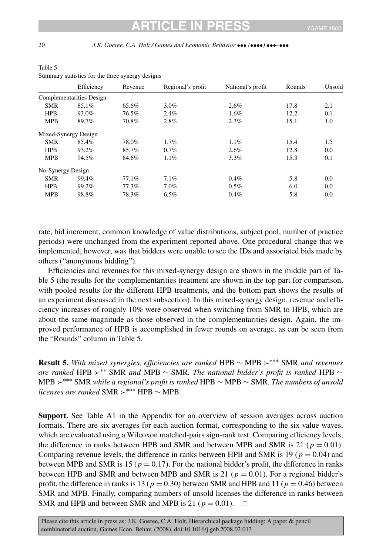#### 20 *J.K. Goeree, C.A. Holt / Games and Economic Behavior* ••• *(*••••*)* •••*–*•••

|                   | Efficiency                      | Revenue | Regional's profit | National's profit | Rounds | Unsold |
|-------------------|---------------------------------|---------|-------------------|-------------------|--------|--------|
|                   | <b>Complementarities Design</b> |         |                   |                   |        |        |
| <b>SMR</b>        | 85.1%                           | 65.6%   | 3.0%              | $-2.6%$           | 17.8   | 2.1    |
| <b>HPB</b>        | 93.0%                           | 76.5%   | 2.4%              | 1.6%              | 12.2   | 0.1    |
| <b>MPB</b>        | 89.7%                           | 70.8%   | 2.8%              | 2.3%              | 15.1   | 1.0    |
|                   | Mixed-Synergy Design            |         |                   |                   |        |        |
| <b>SMR</b>        | 85.4%                           | 78.0%   | 1.7%              | 1.1%              | 15.4   | 1.5    |
| <b>HPB</b>        | 93.2%                           | 85.7%   | 0.7%              | 2.6%              | 12.8   | 0.0    |
| <b>MPB</b>        | 94.5%                           | 84.6%   | 1.1%              | 3.3%              | 15.3   | 0.1    |
| No-Synergy Design |                                 |         |                   |                   |        |        |
| <b>SMR</b>        | 99.4%                           | 77.1%   | 7.1%              | 0.4%              | 5.8    | 0.0    |
| <b>HPB</b>        | 99.2%                           | 77.3%   | 7.0%              | 0.5%              | 6.0    | 0.0    |
| <b>MPB</b>        | 98.8%                           | 78.3%   | 6.5%              | 0.4%              | 5.8    | 0.0    |

Table 5 Summary statistics for the three synergy designs

rate, bid increment, common knowledge of value distributions, subject pool, number of practice periods) were unchanged from the experiment reported above. One procedural change that we implemented, however, was that bidders were unable to see the IDs and associated bids made by others ("anonymous bidding").

Efficiencies and revenues for this mixed-synergy design are shown in the middle part of Table 5 (the results for the complementarities treatment are shown in the top part for comparison, with pooled results for the different HPB treatments, and the bottom part shows the results of an experiment discussed in the next subsection). In this mixed-synergy design, revenue and efficiency increases of roughly 10% were observed when switching from SMR to HPB, which are about the same magnitude as those observed in the complementarities design. Again, the improved performance of HPB is accomplished in fewer rounds on average, as can be seen from the "Rounds" column in Table 5.

**Result 5.** *With mixed synergies, efficiencies are ranked* HPB ∼ MPB ∗∗∗ SMR *and revenues are ranked* HPB ∗∗ SMR *and* MPB ∼ SMR*. The national bidder's profit is ranked* HPB ∼ MPB ∗∗∗ SMR *while a regional's profit is ranked* HPB ∼ MPB ∼ SMR*. The numbers of unsold licenses are ranked* SMR ∗∗∗ HPB ∼ MPB*.*

**Support.** See Table A1 in the Appendix for an overview of session averages across auction formats. There are six averages for each auction format, corresponding to the six value waves, which are evaluated using a Wilcoxon matched-pairs sign-rank test. Comparing efficiency levels, the difference in ranks between HPB and SMR and between MPB and SMR is 21 ( $p = 0.01$ ). Comparing revenue levels, the difference in ranks between HPB and SMR is  $19$  ( $p = 0.04$ ) and between MPB and SMR is 15 ( $p = 0.17$ ). For the national bidder's profit, the difference in ranks between HPB and SMR and between MPB and SMR is 21 ( $p = 0.01$ ). For a regional bidder's profit, the difference in ranks is 13 ( $p = 0.30$ ) between SMR and HPB and 11 ( $p = 0.46$ ) between SMR and MPB. Finally, comparing numbers of unsold licenses the difference in ranks between SMR and HPB and between SMR and MPB is 21 ( $p = 0.01$ ).  $\Box$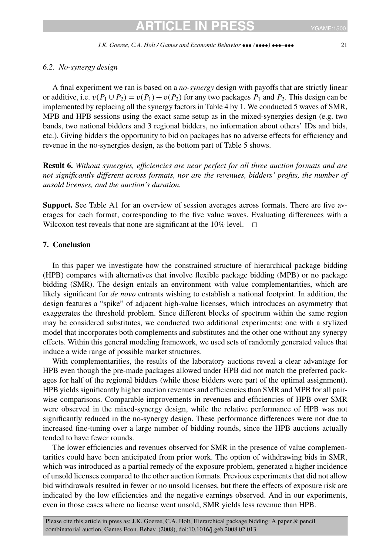*J.K. Goeree, C.A. Holt / Games and Economic Behavior* ••• *(*••••*)* •••*–*••• 21

### *6.2. No-synergy design*

A final experiment we ran is based on a *no-synergy* design with payoffs that are strictly linear or additive, i.e.  $v(P_1 \cup P_2) = v(P_1) + v(P_2)$  for any two packages  $P_1$  and  $P_2$ . This design can be implemented by replacing all the synergy factors in Table 4 by 1. We conducted 5 waves of SMR, MPB and HPB sessions using the exact same setup as in the mixed-synergies design (e.g. two bands, two national bidders and 3 regional bidders, no information about others' IDs and bids, etc.). Giving bidders the opportunity to bid on packages has no adverse effects for efficiency and revenue in the no-synergies design, as the bottom part of Table 5 shows.

**Result 6.** *Without synergies, efficiencies are near perfect for all three auction formats and are not significantly different across formats, nor are the revenues, bidders' profits, the number of unsold licenses, and the auction's duration.*

**Support.** See Table A1 for an overview of session averages across formats. There are five averages for each format, corresponding to the five value waves. Evaluating differences with a Wilcoxon test reveals that none are significant at the 10% level.  $\Box$ 

### **7. Conclusion**

In this paper we investigate how the constrained structure of hierarchical package bidding (HPB) compares with alternatives that involve flexible package bidding (MPB) or no package bidding (SMR). The design entails an environment with value complementarities, which are likely significant for *de novo* entrants wishing to establish a national footprint. In addition, the design features a "spike" of adjacent high-value licenses, which introduces an asymmetry that exaggerates the threshold problem. Since different blocks of spectrum within the same region may be considered substitutes, we conducted two additional experiments: one with a stylized model that incorporates both complements and substitutes and the other one without any synergy effects. Within this general modeling framework, we used sets of randomly generated values that induce a wide range of possible market structures.

With complementarities, the results of the laboratory auctions reveal a clear advantage for HPB even though the pre-made packages allowed under HPB did not match the preferred packages for half of the regional bidders (while those bidders were part of the optimal assignment). HPB yields significantly higher auction revenues and efficiencies than SMR and MPB for all pairwise comparisons. Comparable improvements in revenues and efficiencies of HPB over SMR were observed in the mixed-synergy design, while the relative performance of HPB was not significantly reduced in the no-synergy design. These performance differences were not due to increased fine-tuning over a large number of bidding rounds, since the HPB auctions actually tended to have fewer rounds.

The lower efficiencies and revenues observed for SMR in the presence of value complementarities could have been anticipated from prior work. The option of withdrawing bids in SMR, which was introduced as a partial remedy of the exposure problem, generated a higher incidence of unsold licenses compared to the other auction formats. Previous experiments that did not allow bid withdrawals resulted in fewer or no unsold licenses, but there the effects of exposure risk are indicated by the low efficiencies and the negative earnings observed. And in our experiments, even in those cases where no license went unsold, SMR yields less revenue than HPB.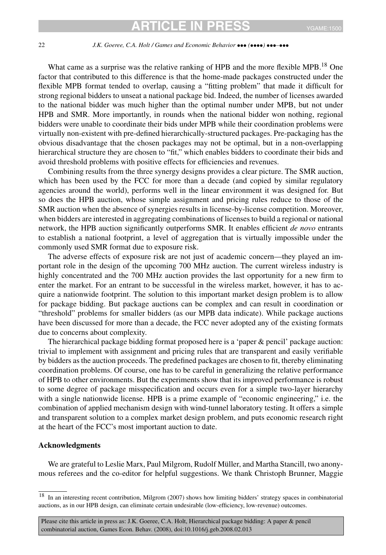#### 22 *J.K. Goeree, C.A. Holt / Games and Economic Behavior* ••• *(*••••*)* •••*–*•••

What came as a surprise was the relative ranking of HPB and the more flexible MPB.<sup>18</sup> One factor that contributed to this difference is that the home-made packages constructed under the flexible MPB format tended to overlap, causing a "fitting problem" that made it difficult for strong regional bidders to unseat a national package bid. Indeed, the number of licenses awarded to the national bidder was much higher than the optimal number under MPB, but not under HPB and SMR. More importantly, in rounds when the national bidder won nothing, regional bidders were unable to coordinate their bids under MPB while their coordination problems were virtually non-existent with pre-defined hierarchically-structured packages. Pre-packaging has the obvious disadvantage that the chosen packages may not be optimal, but in a non-overlapping hierarchical structure they are chosen to "fit," which enables bidders to coordinate their bids and avoid threshold problems with positive effects for efficiencies and revenues.

Combining results from the three synergy designs provides a clear picture. The SMR auction, which has been used by the FCC for more than a decade (and copied by similar regulatory agencies around the world), performs well in the linear environment it was designed for. But so does the HPB auction, whose simple assignment and pricing rules reduce to those of the SMR auction when the absence of synergies results in license-by-license competition. Moreover, when bidders are interested in aggregating combinations of licenses to build a regional or national network, the HPB auction significantly outperforms SMR. It enables efficient *de novo* entrants to establish a national footprint, a level of aggregation that is virtually impossible under the commonly used SMR format due to exposure risk.

The adverse effects of exposure risk are not just of academic concern—they played an important role in the design of the upcoming 700 MHz auction. The current wireless industry is highly concentrated and the 700 MHz auction provides the last opportunity for a new firm to enter the market. For an entrant to be successful in the wireless market, however, it has to acquire a nationwide footprint. The solution to this important market design problem is to allow for package bidding. But package auctions can be complex and can result in coordination or "threshold" problems for smaller bidders (as our MPB data indicate). While package auctions have been discussed for more than a decade, the FCC never adopted any of the existing formats due to concerns about complexity.

The hierarchical package bidding format proposed here is a 'paper & pencil' package auction: trivial to implement with assignment and pricing rules that are transparent and easily verifiable by bidders as the auction proceeds. The predefined packages are chosen to fit, thereby eliminating coordination problems. Of course, one has to be careful in generalizing the relative performance of HPB to other environments. But the experiments show that its improved performance is robust to some degree of package misspecification and occurs even for a simple two-layer hierarchy with a single nationwide license. HPB is a prime example of "economic engineering," i.e. the combination of applied mechanism design with wind-tunnel laboratory testing. It offers a simple and transparent solution to a complex market design problem, and puts economic research right at the heart of the FCC's most important auction to date.

#### **Acknowledgments**

We are grateful to Leslie Marx, Paul Milgrom, Rudolf Müller, and Martha Stancill, two anonymous referees and the co-editor for helpful suggestions. We thank Christoph Brunner, Maggie

<sup>&</sup>lt;sup>18</sup> In an interesting recent contribution, Milgrom (2007) shows how limiting bidders' strategy spaces in combinatorial auctions, as in our HPB design, can eliminate certain undesirable (low-efficiency, low-revenue) outcomes.

Please cite this article in press as: J.K. Goeree, C.A. Holt, Hierarchical package bidding: A paper & pencil combinatorial auction, Games Econ. Behav. (2008), doi:10.1016/j.geb.2008.02.013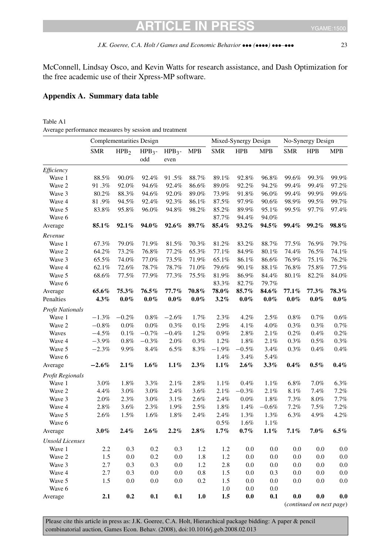McConnell, Lindsay Osco, and Kevin Watts for research assistance, and Dash Optimization for the free academic use of their Xpress-MP software.

### **Appendix A. Summary data table**

| Table A1                                              |  |
|-------------------------------------------------------|--|
| Average performance measures by session and treatment |  |

|                         | <b>Complementarities Design</b> |                  |                 |                  |            | Mixed-Synergy Design |            |         | No-Synergy Design |                                 |            |
|-------------------------|---------------------------------|------------------|-----------------|------------------|------------|----------------------|------------|---------|-------------------|---------------------------------|------------|
|                         | <b>SMR</b>                      | HPB <sub>2</sub> | $HPB_3-$<br>odd | $HPB_3-$<br>even | <b>MPB</b> | <b>SMR</b>           | <b>HPB</b> | MPB     | <b>SMR</b>        | <b>HPB</b>                      | <b>MPB</b> |
| Efficiency              |                                 |                  |                 |                  |            |                      |            |         |                   |                                 |            |
| Wave 1                  | 88.5%                           | 90.0%            | 92.4%           | 91.5%            | 88.7%      | 89.1%                | 92.8%      | 96.8%   | 99.6%             | 99.3%                           | 99.9%      |
| Wave 2                  | 91.3%                           | 92.0%            | 94.6%           | 92.4%            | 86.6%      | 89.0%                | 92.2%      | 94.2%   | 99.4%             | 99.4%                           | 97.2%      |
| Wave 3                  | 80.2%                           | 88.3%            | 94.6%           | 92.0%            | 89.0%      | 73.9%                | 91.8%      | 96.0%   | 99.4%             | 99.9%                           | 99.6%      |
| Wave 4                  | 81.9%                           | 94.5%            | 92.4%           | 92.3%            | 86.1%      | 87.5%                | 97.9%      | 90.6%   | 98.9%             | 99.5%                           | 99.7%      |
| Wave 5                  | 83.8%                           | 95.8%            | 96.0%           | 94.8%            | 98.2%      | 85.2%                | 89.9%      | 95.1%   | 99.5%             | 97.7%                           | 97.4%      |
| Wave 6                  |                                 |                  |                 |                  |            | 87.7%                | 94.4%      | 94.0%   |                   |                                 |            |
| Average                 | 85.1%                           | $92.1\%$         | $94.0\%$        | 92.6%            | 89.7%      | 85.4%                | 93.2%      | 94.5%   | 99.4%             | 99.2%                           | 98.8%      |
| Revenue                 |                                 |                  |                 |                  |            |                      |            |         |                   |                                 |            |
| Wave 1                  | 67.3%                           | 79.0%            | 71.9%           | 81.5%            | 70.3%      | 81.2%                | 83.2%      | 88.7%   | 77.5%             | 76.9%                           | 79.7%      |
| Wave 2                  | 64.2%                           | 73.2%            | 76.8%           | 77.2%            | 65.3%      | 77.1%                | 84.9%      | 80.1%   | 74.4%             | 76.5%                           | 74.1%      |
| Wave 3                  | 65.5%                           | 74.0%            | 77.0%           | 73.5%            | 71.9%      | 65.1%                | 86.1%      | 86.6%   | 76.9%             | 75.1%                           | 76.2%      |
| Wave 4                  | 62.1%                           | 72.6%            | 78.7%           | 78.7%            | 71.0%      | 79.6%                | 90.1%      | 88.1%   | 76.8%             | 75.8%                           | 77.5%      |
| Wave 5                  | 68.6%                           | 77.5%            | 77.9%           | 77.3%            | 75.5%      | 81.9%                | 86.9%      | 84.4%   | 80.1%             | 82.2%                           | 84.0%      |
| Wave 6                  |                                 |                  |                 |                  |            | 83.3%                | 82.7%      | 79.7%   |                   |                                 |            |
| Average                 | 65.6%                           | 75.3%            | 76.5%           | 77.7%            | $70.8\%$   | 78.0%                | 85.7%      | 84.6%   | 77.1%             | 77.3%                           | 78.3%      |
| Penalties               | 4.3%                            | $0.0\,\%$        | $0.0\,\%$       | $0.0\,\%$        | $0.0\%$    | $3.2\%$              | $0.0\%$    | $0.0\%$ | $0.0\%$           | $0.0\,\%$                       | $0.0\,\%$  |
| <b>Profit Nationals</b> |                                 |                  |                 |                  |            |                      |            |         |                   |                                 |            |
| Wave 1                  | $-1.3%$                         | $-0.2%$          | 0.8%            | $-2.6%$          | 1.7%       | 2.3%                 | 4.2%       | 2.5%    | 0.8%              | 0.7%                            | 0.6%       |
| Wave 2                  | $-0.8%$                         | 0.0%             | 0.0%            | 0.3%             | 0.1%       | 2.9%                 | 4.1%       | 4.0%    | 0.3%              | 0.3%                            | 0.7%       |
| Waves                   | $-4.5%$                         | 0.1%             | $-0.7%$         | $-0.4%$          | 1.2%       | 0.9%                 | 2.8%       | 2.1%    | 0.2%              | 0.4%                            | 0.2%       |
| Wave 4                  | $-3.9\%$                        | 0.8%             | $-0.3%$         | $2.0\%$          | 0.3%       | 1.2%                 | 1.8%       | 2.1%    | 0.3%              | 0.5%                            | 0.3%       |
| Wave 5                  | $-2.3%$                         | 9.9%             | 8.4%            | $6.5\%$          | 8.3%       | $-1.9%$              | $-0.5\%$   | 3.4%    | 0.3%              | 0.4%                            | $0.4\%$    |
| Wave 6                  |                                 |                  |                 |                  |            | 1.4%                 | 3.4%       | 5.4%    |                   |                                 |            |
| Average                 | $-2.6\%$                        | 2.1%             | $1.6\%$         | $1.1\%$          | 2.3%       | $1.1\%$              | $2.6\%$    | $3.3\%$ | $0.4\%$           | $0.5\%$                         | 0.4%       |
| <b>Profit Regionals</b> |                                 |                  |                 |                  |            |                      |            |         |                   |                                 |            |
| Wave 1                  | 3.0%                            | 1.8%             | 3.3%            | 2.1%             | 2.8%       | 1.1%                 | 0.4%       | 1.1%    | 6.8%              | 7.0%                            | 6.3%       |
| Wave 2                  | 4.4%                            | 3.0%             | 3.0%            | 2.4%             | 3.6%       | 2.1%                 | $-0.3\%$   | 2.1%    | 8.1%              | 7.4%                            | $7.2\%$    |
| Wave 3                  | 2.0%                            | 2.3%             | 3.0%            | 3.1%             | 2.6%       | 2.4%                 | $0.0\%$    | 1.8%    | 7.3%              | 8.0%                            | 7.7%       |
| Wave 4                  | 2.8%                            | 3.6%             | 2.3%            | 1.9%             | 2.5%       | 1.8%                 | 1.4%       | $-0.6%$ | 7.2%              | 7.5%                            | 7.2%       |
| Wave 5                  | 2.6%                            | $1.5\%$          | $1.6\%$         | $1.8\%$          | 2.4%       | 2.4%                 | 1.3%       | 1.3%    | 6.3%              | 4.9%                            | 4.2%       |
| Wave 6                  |                                 |                  |                 |                  |            | 0.5%                 | 1.6%       | 1.1%    |                   |                                 |            |
| Average                 | $3.0\%$                         | 2.4%             | $2.6\%$         | 2.2%             | 2.8%       | $1.7\%$              | $0.7\%$    | $1.1\%$ | $7.1\%$           | $7.0\%$                         | $6.5\%$    |
| <b>Unsold Licenses</b>  |                                 |                  |                 |                  |            |                      |            |         |                   |                                 |            |
| Wave 1                  | 2.2                             | 0.3              | 0.2             | 0.3              | 1.2        | 1.2                  | $0.0\,$    | 0.0     | $0.0\,$           | $0.0\,$                         | 0.0        |
| Wave 2                  | 1.5                             | 0.0              | 0.2             | $0.0\,$          | 1.8        | 1.2                  | 0.0        | 0.0     | 0.0               | 0.0                             | $0.0\,$    |
| Wave 3                  | 2.7                             | 0.3              | 0.3             | 0.0              | 1.2        | 2.8                  | 0.0        | 0.0     | 0.0               | 0.0                             | 0.0        |
| Wave 4                  | 2.7                             | 0.3              | 0.0             | 0.0              | 0.8        | 1.5                  | 0.0        | 0.3     | 0.0               | 0.0                             | 0.0        |
| Wave 5                  | 1.5                             | 0.0              | 0.0             | 0.0              | 0.2        | $1.5\,$              | 0.0        | 0.0     | 0.0               | 0.0                             | $0.0\,$    |
| Wave 6                  |                                 |                  |                 |                  |            | 1.0                  | 0.0        | 0.0     |                   |                                 |            |
| Average                 | 2.1                             | 0.2              | 0.1             | 0.1              | $1.0$      | 1.5                  | 0.0        | 0.1     | $\mathbf{0.0}$    | 0.0<br>(continued on next page) | $0.0\,$    |

(*continued on next page*)

Please cite this article in press as: J.K. Goeree, C.A. Holt, Hierarchical package bidding: A paper & pencil combinatorial auction, Games Econ. Behav. (2008), doi:10.1016/j.geb.2008.02.013